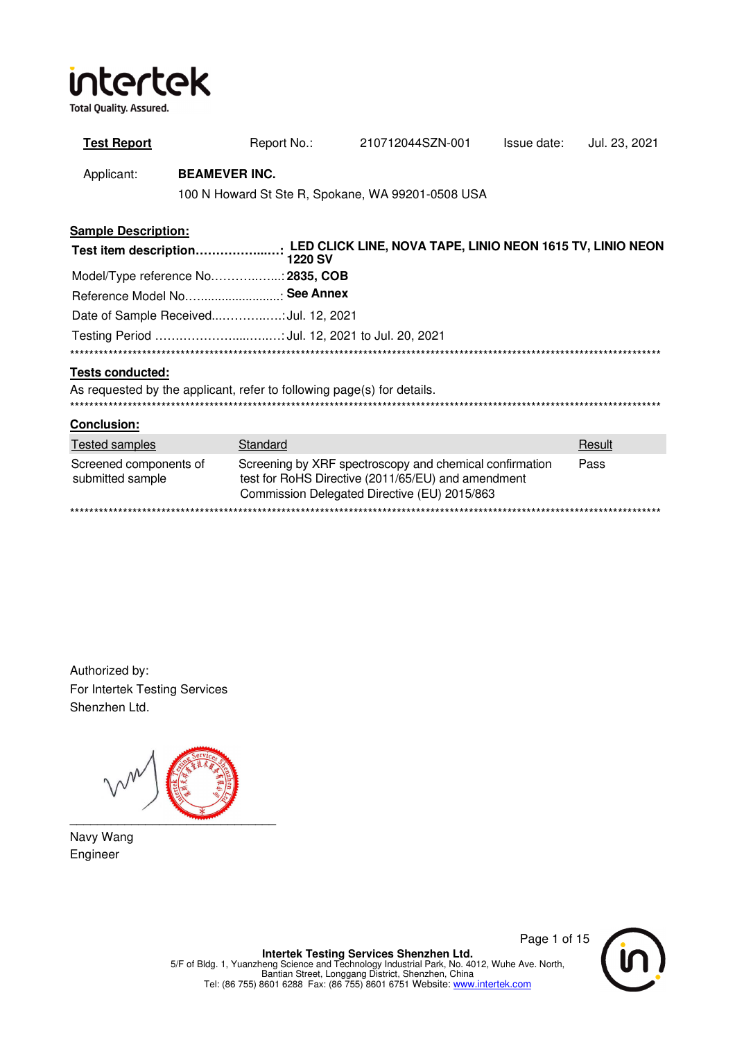**Total Quality. Assured.** 

| <b>Test Report</b>                                                     |                      | Report No.:    | 210712044SZN-001                                                                                                                                              | Issue date: | Jul. 23, 2021 |
|------------------------------------------------------------------------|----------------------|----------------|---------------------------------------------------------------------------------------------------------------------------------------------------------------|-------------|---------------|
| Applicant:                                                             | <b>BEAMEVER INC.</b> |                | 100 N Howard St Ste R, Spokane, WA 99201-0508 USA                                                                                                             |             |               |
| <b>Sample Description:</b>                                             |                      |                |                                                                                                                                                               |             |               |
|                                                                        |                      | <b>1220 SV</b> |                                                                                                                                                               |             |               |
| Model/Type reference No: 2835, COB                                     |                      |                |                                                                                                                                                               |             |               |
| Reference Model No See Annex                                           |                      |                |                                                                                                                                                               |             |               |
| Date of Sample ReceivedJul. 12, 2021                                   |                      |                |                                                                                                                                                               |             |               |
|                                                                        |                      |                |                                                                                                                                                               |             |               |
|                                                                        |                      |                |                                                                                                                                                               |             |               |
| <b>Tests conducted:</b>                                                |                      |                |                                                                                                                                                               |             |               |
| As requested by the applicant, refer to following page(s) for details. |                      |                |                                                                                                                                                               |             |               |
| <b>Conclusion:</b>                                                     |                      |                |                                                                                                                                                               |             |               |
| <b>Tested samples</b>                                                  |                      | Standard       |                                                                                                                                                               |             | Result        |
| Screened components of<br>submitted sample                             |                      |                | Screening by XRF spectroscopy and chemical confirmation<br>test for RoHS Directive (2011/65/EU) and amendment<br>Commission Delegated Directive (EU) 2015/863 |             | Pass          |
|                                                                        |                      |                |                                                                                                                                                               |             |               |

Authorized by: For Intertek Testing Services Shenzhen Ltd.

\_\_\_\_\_\_\_\_\_\_\_\_\_\_\_\_\_\_\_\_\_\_\_\_\_\_\_\_\_\_

Navy Wang Engineer

Page 1 of 15

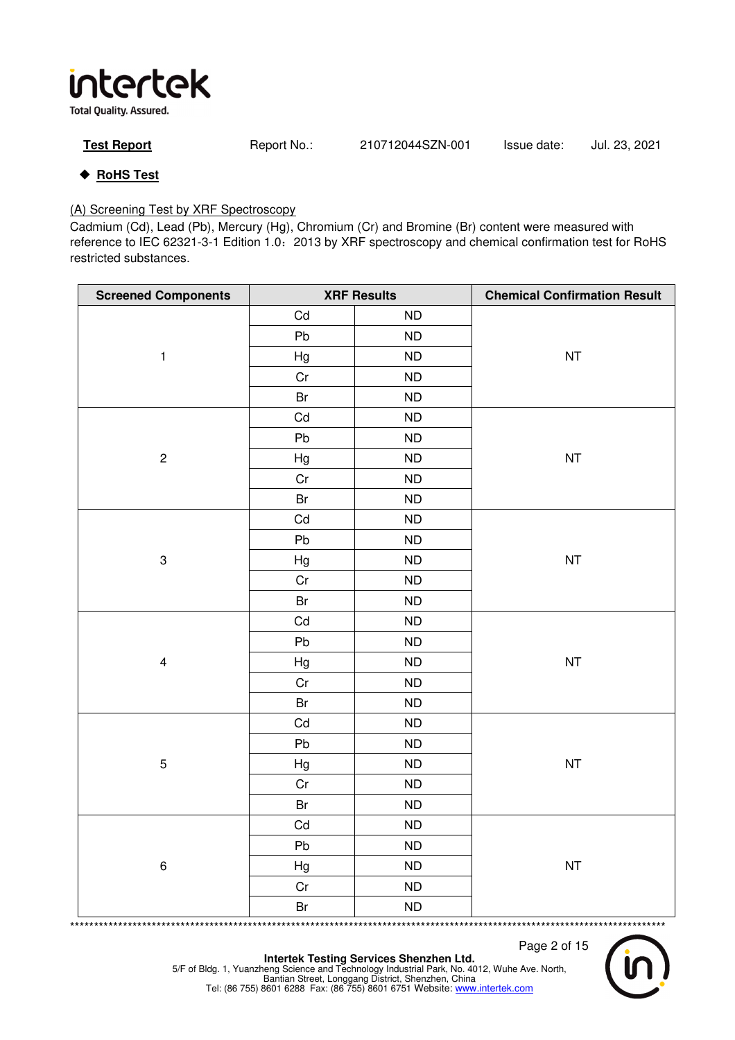**Total Quality. Assured.** 

| <b>Test Report</b> | Report No.: | 210712044SZN-001 | Issue date: | Jul. 23, 2021 |
|--------------------|-------------|------------------|-------------|---------------|
|--------------------|-------------|------------------|-------------|---------------|

## ◆ RoHS Test

### (A) Screening Test by XRF Spectroscopy

Cadmium (Cd), Lead (Pb), Mercury (Hg), Chromium (Cr) and Bromine (Br) content were measured with reference to IEC 62321-3-1 Edition 1.0:2013 by XRF spectroscopy and chemical confirmation test for RoHS restricted substances.

| <b>Screened Components</b> |          | <b>XRF Results</b> | <b>Chemical Confirmation Result</b> |
|----------------------------|----------|--------------------|-------------------------------------|
|                            | Cd       | <b>ND</b>          |                                     |
|                            | Pb       | ${\sf ND}$         |                                     |
| $\mathbf{1}$               | Hg       | ND                 | <b>NT</b>                           |
|                            | $\rm Cr$ | ND                 |                                     |
|                            | Br       | ND                 |                                     |
|                            | Cd       | ${\sf ND}$         |                                     |
|                            | Pb       | ${\sf ND}$         |                                     |
| $\sqrt{2}$                 | Hg       | ${\sf ND}$         | <b>NT</b>                           |
|                            | Cr       | ${\sf ND}$         |                                     |
|                            | Br       | ${\sf ND}$         |                                     |
|                            | Cd       | ND                 |                                     |
|                            | Pb       | ${\sf ND}$         |                                     |
| $\mathsf 3$                | Hg       | ${\sf ND}$         | <b>NT</b>                           |
|                            | Cr       | <b>ND</b>          |                                     |
|                            | Br       | ND                 |                                     |
|                            | Cd       | ${\sf ND}$         |                                     |
|                            | Pb       | ${\sf ND}$         |                                     |
| $\overline{\mathbf{4}}$    | Hg       | ${\sf ND}$         | <b>NT</b>                           |
|                            | Cr       | ND                 |                                     |
|                            | Br       | ${\sf ND}$         |                                     |
|                            | Cd       | ${\sf ND}$         |                                     |
|                            | Pb       | ${\sf ND}$         |                                     |
| $\overline{5}$             | Hg       | ${\sf ND}$         | <b>NT</b>                           |
|                            | Cr       | ${\sf ND}$         |                                     |
|                            | Br       | <b>ND</b>          |                                     |
|                            | Cd       | ${\sf ND}$         |                                     |
|                            | Pb       | ${\sf ND}$         |                                     |
| $\,6\,$                    | Hg       | <b>ND</b>          | <b>NT</b>                           |
|                            | $\rm Cr$ | ND                 |                                     |
|                            | Br       | <b>ND</b>          |                                     |

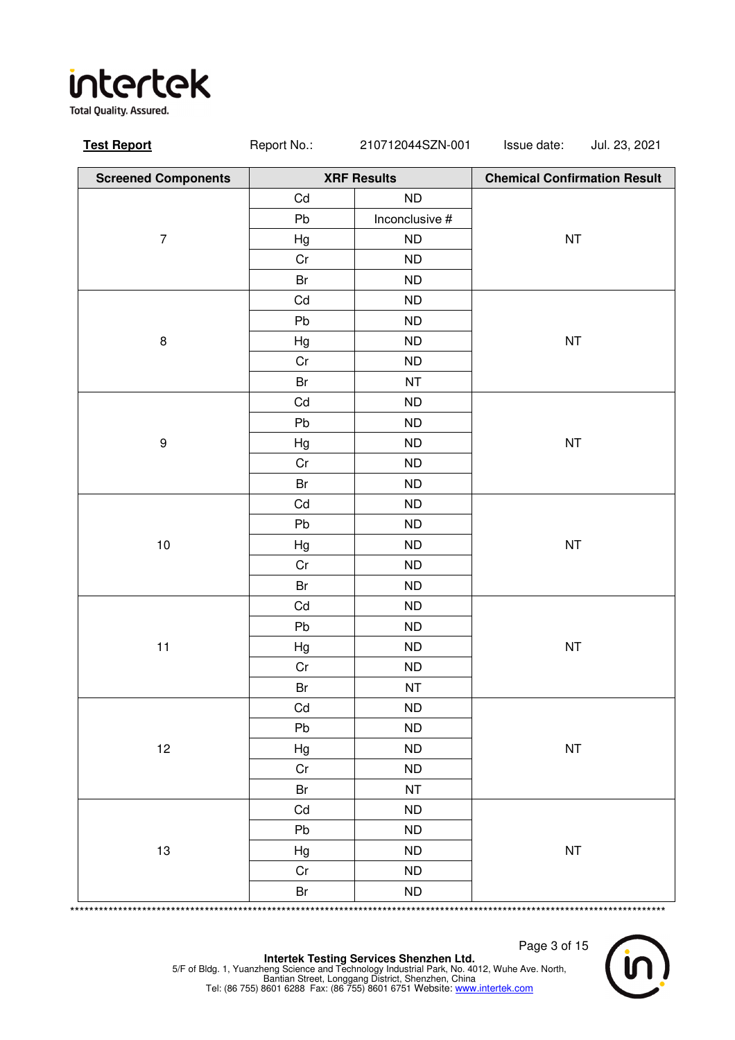**Total Quality. Assured.** 

| <b>Screened Components</b> |               | <b>XRF Results</b> | <b>Chemical Confirmation Result</b> |
|----------------------------|---------------|--------------------|-------------------------------------|
|                            | Cd            | <b>ND</b>          |                                     |
|                            | Pb            | Inconclusive #     |                                     |
| $\boldsymbol{7}$           | Hg            | ND                 | NT                                  |
|                            | Cr            | ND                 |                                     |
|                            | Br            | <b>ND</b>          |                                     |
|                            | Cd            | <b>ND</b>          |                                     |
|                            | Pb            | ND                 |                                     |
| $\bf 8$                    | Hg            | ND                 | <b>NT</b>                           |
|                            | Cr            | <b>ND</b>          |                                     |
|                            | Br            | <b>NT</b>          |                                     |
|                            | $\mathsf{Cd}$ | ND                 |                                     |
|                            | Pb            | ND                 |                                     |
| $\boldsymbol{9}$           | Hg            | ${\sf ND}$         | NT                                  |
|                            | Cr            | <b>ND</b>          |                                     |
|                            | Br            | ND                 |                                     |
|                            | Cd            | ND                 |                                     |
|                            | Pb            | <b>ND</b>          |                                     |
| $10$                       | Hg            | <b>ND</b>          | NT                                  |
|                            | Cr            | ND                 |                                     |
|                            | Br            | ND                 |                                     |
|                            | Cd            | ${\sf ND}$         |                                     |
|                            | Pb            | ND                 |                                     |
| 11                         | Hg            | ND                 | <b>NT</b>                           |
|                            | Cr            | ${\sf ND}$         |                                     |
|                            | Br            | <b>NT</b>          |                                     |
|                            | Cd            | <b>ND</b>          |                                     |
|                            | Pb            | ${\sf ND}$         |                                     |
| 12                         | Hg            | ${\sf ND}$         | <b>NT</b>                           |
|                            | Cr            | ${\sf ND}$         |                                     |
|                            | Br            | <b>NT</b>          |                                     |
|                            | Cd            | ${\sf ND}$         |                                     |
|                            | Pb            | ND                 |                                     |
| 13                         | Hg            | ND                 | $\sf{NT}$                           |
|                            | Cr            | <b>ND</b>          |                                     |
|                            | Br            | ${\sf ND}$         |                                     |

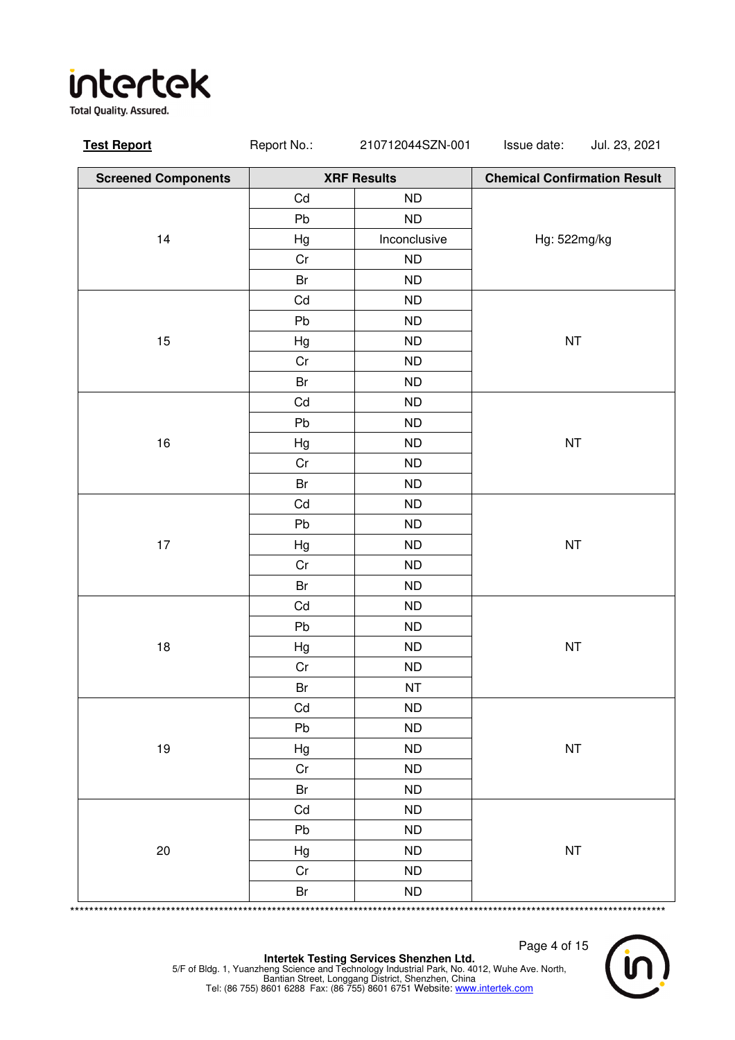**Total Quality. Assured.** 

| <b>XRF Results</b><br><b>Chemical Confirmation Result</b><br><b>Screened Components</b><br>Cd<br><b>ND</b><br>Pb<br>ND<br>14<br>Inconclusive<br>Hg: 522mg/kg<br>Hg<br>Cr<br>${\sf ND}$<br>Br<br><b>ND</b><br>Cd<br><b>ND</b><br>Pb<br>ND<br>15<br>Hg<br>ND<br><b>NT</b><br>Cr<br><b>ND</b><br>Br<br><b>ND</b><br>Cd<br>ND<br>Pb<br>ND<br>$16\,$<br>NT<br>Hg<br>ND<br>Cr<br><b>ND</b><br>Br<br>ND<br><b>ND</b><br>Cd<br>Pb<br><b>ND</b><br><b>NT</b><br>$17\,$<br>Hg<br><b>ND</b><br>Cr<br><b>ND</b><br>Br<br>ND<br>Cd<br>ND<br>Pb<br><b>ND</b><br>$18\,$<br>NT<br>ND<br>Hg<br>Cr<br>${\sf ND}$<br>Br<br><b>NT</b><br>Cd<br><b>ND</b><br>Pb<br><b>ND</b><br><b>NT</b><br>19<br>Hg<br><b>ND</b><br>Cr<br><b>ND</b><br><b>ND</b><br>Br<br>Cd<br>ND<br>Pb<br><b>ND</b><br><b>NT</b><br>20<br><b>ND</b><br>Hg<br>Cr<br><b>ND</b><br>Br<br>ND<br>************ | <b>Test Report</b> | Report No.: | 210712044SZN-001 | Issue date:<br>Jul. 23, 2021 |
|---------------------------------------------------------------------------------------------------------------------------------------------------------------------------------------------------------------------------------------------------------------------------------------------------------------------------------------------------------------------------------------------------------------------------------------------------------------------------------------------------------------------------------------------------------------------------------------------------------------------------------------------------------------------------------------------------------------------------------------------------------------------------------------------------------------------------------------------------------|--------------------|-------------|------------------|------------------------------|
|                                                                                                                                                                                                                                                                                                                                                                                                                                                                                                                                                                                                                                                                                                                                                                                                                                                         |                    |             |                  |                              |
|                                                                                                                                                                                                                                                                                                                                                                                                                                                                                                                                                                                                                                                                                                                                                                                                                                                         |                    |             |                  |                              |
|                                                                                                                                                                                                                                                                                                                                                                                                                                                                                                                                                                                                                                                                                                                                                                                                                                                         |                    |             |                  |                              |
|                                                                                                                                                                                                                                                                                                                                                                                                                                                                                                                                                                                                                                                                                                                                                                                                                                                         |                    |             |                  |                              |
|                                                                                                                                                                                                                                                                                                                                                                                                                                                                                                                                                                                                                                                                                                                                                                                                                                                         |                    |             |                  |                              |
|                                                                                                                                                                                                                                                                                                                                                                                                                                                                                                                                                                                                                                                                                                                                                                                                                                                         |                    |             |                  |                              |
|                                                                                                                                                                                                                                                                                                                                                                                                                                                                                                                                                                                                                                                                                                                                                                                                                                                         |                    |             |                  |                              |
|                                                                                                                                                                                                                                                                                                                                                                                                                                                                                                                                                                                                                                                                                                                                                                                                                                                         |                    |             |                  |                              |
|                                                                                                                                                                                                                                                                                                                                                                                                                                                                                                                                                                                                                                                                                                                                                                                                                                                         |                    |             |                  |                              |
|                                                                                                                                                                                                                                                                                                                                                                                                                                                                                                                                                                                                                                                                                                                                                                                                                                                         |                    |             |                  |                              |
|                                                                                                                                                                                                                                                                                                                                                                                                                                                                                                                                                                                                                                                                                                                                                                                                                                                         |                    |             |                  |                              |
|                                                                                                                                                                                                                                                                                                                                                                                                                                                                                                                                                                                                                                                                                                                                                                                                                                                         |                    |             |                  |                              |
|                                                                                                                                                                                                                                                                                                                                                                                                                                                                                                                                                                                                                                                                                                                                                                                                                                                         |                    |             |                  |                              |
|                                                                                                                                                                                                                                                                                                                                                                                                                                                                                                                                                                                                                                                                                                                                                                                                                                                         |                    |             |                  |                              |
|                                                                                                                                                                                                                                                                                                                                                                                                                                                                                                                                                                                                                                                                                                                                                                                                                                                         |                    |             |                  |                              |
|                                                                                                                                                                                                                                                                                                                                                                                                                                                                                                                                                                                                                                                                                                                                                                                                                                                         |                    |             |                  |                              |
|                                                                                                                                                                                                                                                                                                                                                                                                                                                                                                                                                                                                                                                                                                                                                                                                                                                         |                    |             |                  |                              |
|                                                                                                                                                                                                                                                                                                                                                                                                                                                                                                                                                                                                                                                                                                                                                                                                                                                         |                    |             |                  |                              |
|                                                                                                                                                                                                                                                                                                                                                                                                                                                                                                                                                                                                                                                                                                                                                                                                                                                         |                    |             |                  |                              |
|                                                                                                                                                                                                                                                                                                                                                                                                                                                                                                                                                                                                                                                                                                                                                                                                                                                         |                    |             |                  |                              |
|                                                                                                                                                                                                                                                                                                                                                                                                                                                                                                                                                                                                                                                                                                                                                                                                                                                         |                    |             |                  |                              |
|                                                                                                                                                                                                                                                                                                                                                                                                                                                                                                                                                                                                                                                                                                                                                                                                                                                         |                    |             |                  |                              |
|                                                                                                                                                                                                                                                                                                                                                                                                                                                                                                                                                                                                                                                                                                                                                                                                                                                         |                    |             |                  |                              |
|                                                                                                                                                                                                                                                                                                                                                                                                                                                                                                                                                                                                                                                                                                                                                                                                                                                         |                    |             |                  |                              |
|                                                                                                                                                                                                                                                                                                                                                                                                                                                                                                                                                                                                                                                                                                                                                                                                                                                         |                    |             |                  |                              |
|                                                                                                                                                                                                                                                                                                                                                                                                                                                                                                                                                                                                                                                                                                                                                                                                                                                         |                    |             |                  |                              |
|                                                                                                                                                                                                                                                                                                                                                                                                                                                                                                                                                                                                                                                                                                                                                                                                                                                         |                    |             |                  |                              |
|                                                                                                                                                                                                                                                                                                                                                                                                                                                                                                                                                                                                                                                                                                                                                                                                                                                         |                    |             |                  |                              |
|                                                                                                                                                                                                                                                                                                                                                                                                                                                                                                                                                                                                                                                                                                                                                                                                                                                         |                    |             |                  |                              |
|                                                                                                                                                                                                                                                                                                                                                                                                                                                                                                                                                                                                                                                                                                                                                                                                                                                         |                    |             |                  |                              |
|                                                                                                                                                                                                                                                                                                                                                                                                                                                                                                                                                                                                                                                                                                                                                                                                                                                         |                    |             |                  |                              |
|                                                                                                                                                                                                                                                                                                                                                                                                                                                                                                                                                                                                                                                                                                                                                                                                                                                         |                    |             |                  |                              |
|                                                                                                                                                                                                                                                                                                                                                                                                                                                                                                                                                                                                                                                                                                                                                                                                                                                         |                    |             |                  |                              |
|                                                                                                                                                                                                                                                                                                                                                                                                                                                                                                                                                                                                                                                                                                                                                                                                                                                         |                    |             |                  |                              |
|                                                                                                                                                                                                                                                                                                                                                                                                                                                                                                                                                                                                                                                                                                                                                                                                                                                         |                    |             |                  |                              |
|                                                                                                                                                                                                                                                                                                                                                                                                                                                                                                                                                                                                                                                                                                                                                                                                                                                         |                    |             |                  |                              |

Page 4 of 15

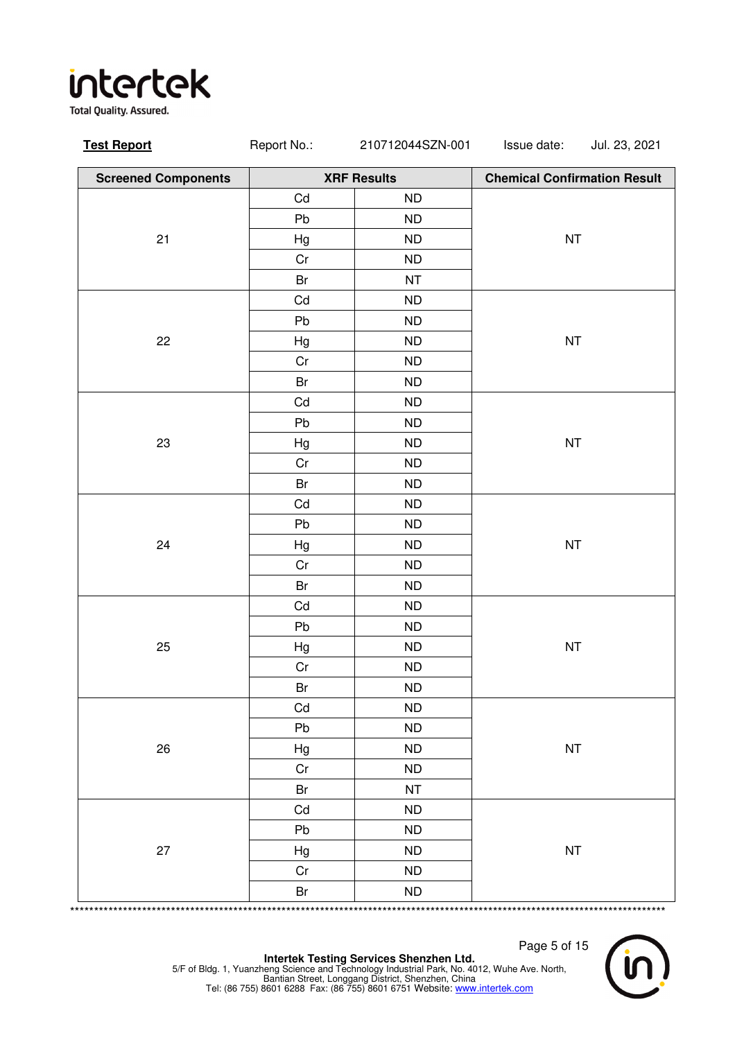**Total Quality. Assured.** 

| <b>Test Report</b>         | Report No.:                | 210712044SZN-001   | Issue date:                         | Jul. 23, 2021 |
|----------------------------|----------------------------|--------------------|-------------------------------------|---------------|
| <b>Screened Components</b> |                            | <b>XRF Results</b> | <b>Chemical Confirmation Result</b> |               |
|                            | Cd                         | <b>ND</b>          |                                     |               |
|                            | Pb                         | <b>ND</b>          |                                     |               |
| 21                         | Hg                         | ND                 | $\sf{NT}$                           |               |
|                            | Cr                         | ND                 |                                     |               |
|                            | Br                         | NT                 |                                     |               |
|                            | Cd                         | <b>ND</b>          |                                     |               |
|                            | Pb                         | ND                 |                                     |               |
| 22                         | Hg                         | ND                 | $\sf{NT}$                           |               |
|                            | Cr                         | <b>ND</b>          |                                     |               |
|                            | Br                         | ND                 |                                     |               |
|                            | $\mathsf{Cd}$              | ND                 |                                     |               |
|                            | Pb                         | <b>ND</b>          |                                     |               |
| 23                         | Hg                         | <b>ND</b>          | $\sf{NT}$                           |               |
|                            | Cr                         | <b>ND</b>          |                                     |               |
|                            | $\mathsf{Br}$              | <b>ND</b>          |                                     |               |
|                            | Cd                         | ND                 |                                     |               |
|                            | Pb                         | <b>ND</b>          |                                     |               |
| 24                         | Hg                         | <b>ND</b>          | $\sf{NT}$                           |               |
|                            | Cr                         | ND                 |                                     |               |
|                            | Br                         | ND                 |                                     |               |
|                            | Cd                         | <b>ND</b>          |                                     |               |
|                            | Pb                         | <b>ND</b>          |                                     |               |
| 25                         | Hg                         | ND                 | $\sf{NT}$                           |               |
|                            | $\rm Cr$                   | ND                 |                                     |               |
|                            | Br                         | ND                 |                                     |               |
|                            | Cd                         | <b>ND</b>          |                                     |               |
|                            | Pb                         | ND                 |                                     |               |
| 26                         | Hg                         | ND                 | $\sf{NT}$                           |               |
|                            | Cr                         | ND                 |                                     |               |
|                            | Br                         | <b>NT</b>          |                                     |               |
|                            | Cd                         | ND                 |                                     |               |
|                            | Pb                         | ND                 |                                     |               |
| 27                         | Hg                         | <b>ND</b>          | $\sf{NT}$                           |               |
|                            | Cr                         | ND                 |                                     |               |
|                            | Br<br>******************** | ND                 |                                     |               |

Page 5 of 15

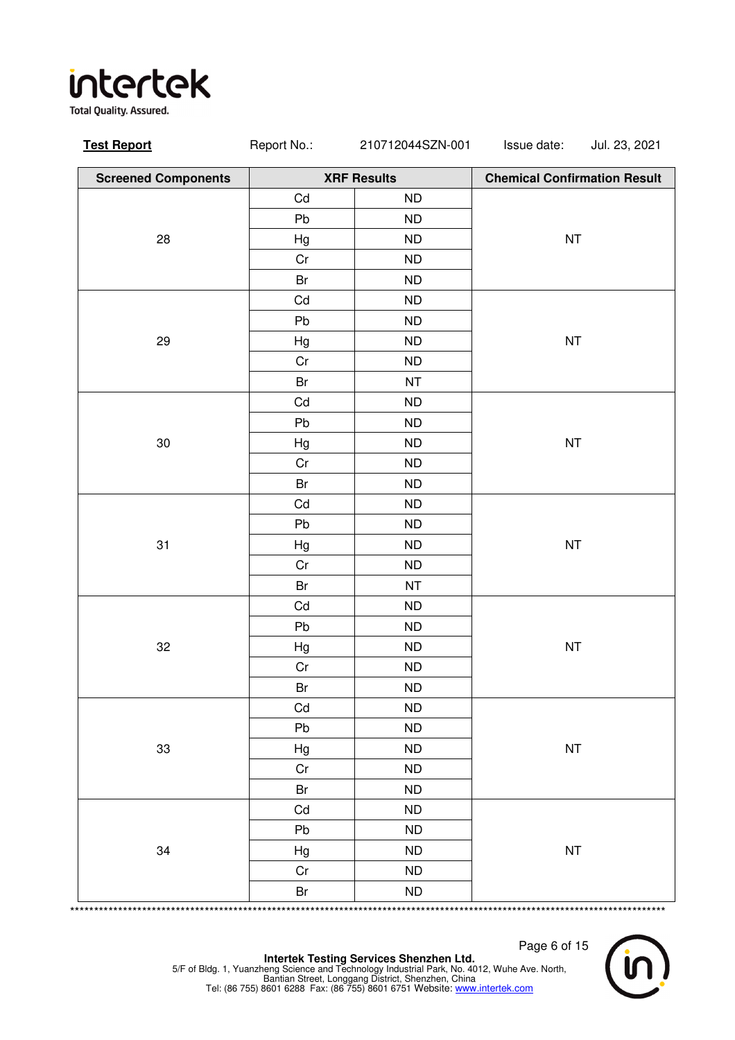**Total Quality. Assured.** 

| <b>Test Report</b>         | Report No.:   | 210712044SZN-001   | Issue date:                         | Jul. 23, 2021 |
|----------------------------|---------------|--------------------|-------------------------------------|---------------|
| <b>Screened Components</b> |               | <b>XRF Results</b> | <b>Chemical Confirmation Result</b> |               |
|                            | Cd            | <b>ND</b>          |                                     |               |
|                            | Pb            | ND                 |                                     |               |
| 28                         | Hg            | <b>ND</b>          | NT                                  |               |
|                            | $\rm Cr$      | ND                 |                                     |               |
|                            | Br            | ND                 |                                     |               |
|                            | Cd            | ND                 |                                     |               |
|                            | Pb            | ND                 |                                     |               |
| 29                         | Hg            | ND                 | $\sf{NT}$                           |               |
|                            | Cr            | ND                 |                                     |               |
|                            | Br            | NT                 |                                     |               |
|                            | Cd            | ND                 |                                     |               |
|                            | Pb            | ND                 |                                     |               |
| 30                         | Hg            | ND                 | NT                                  |               |
|                            | Cr            | <b>ND</b>          |                                     |               |
|                            | Br            | ND                 |                                     |               |
|                            | Cd            | ND                 |                                     |               |
|                            | Pb            | <b>ND</b>          |                                     |               |
| 31                         | Hg            | ND                 | $\sf{NT}$                           |               |
|                            | Cr            | ND                 |                                     |               |
|                            | Br            | NT                 |                                     |               |
|                            | Cd            | <b>ND</b>          |                                     |               |
|                            | Pb            | <b>ND</b>          |                                     |               |
| 32                         | Hg            | ND                 | $\sf{NT}$                           |               |
|                            | $\rm Cr$      | ND                 |                                     |               |
|                            | $\mathsf{Br}$ | ND                 |                                     |               |
|                            | Cd            | ND                 |                                     |               |
|                            | Pb            | ND                 |                                     |               |
| 33                         | Hg            | ND                 | $\sf{NT}$                           |               |
|                            | Cr            | <b>ND</b>          |                                     |               |
|                            | Br            | ND                 |                                     |               |
|                            | Cd            | ND                 |                                     |               |
|                            | Pb            | ND                 |                                     |               |
| 34                         | Hg            | <b>ND</b>          | $\sf{NT}$                           |               |
|                            | $\rm Cr$      | ND                 |                                     |               |
|                            | Br<br>******* | ND                 |                                     | *****         |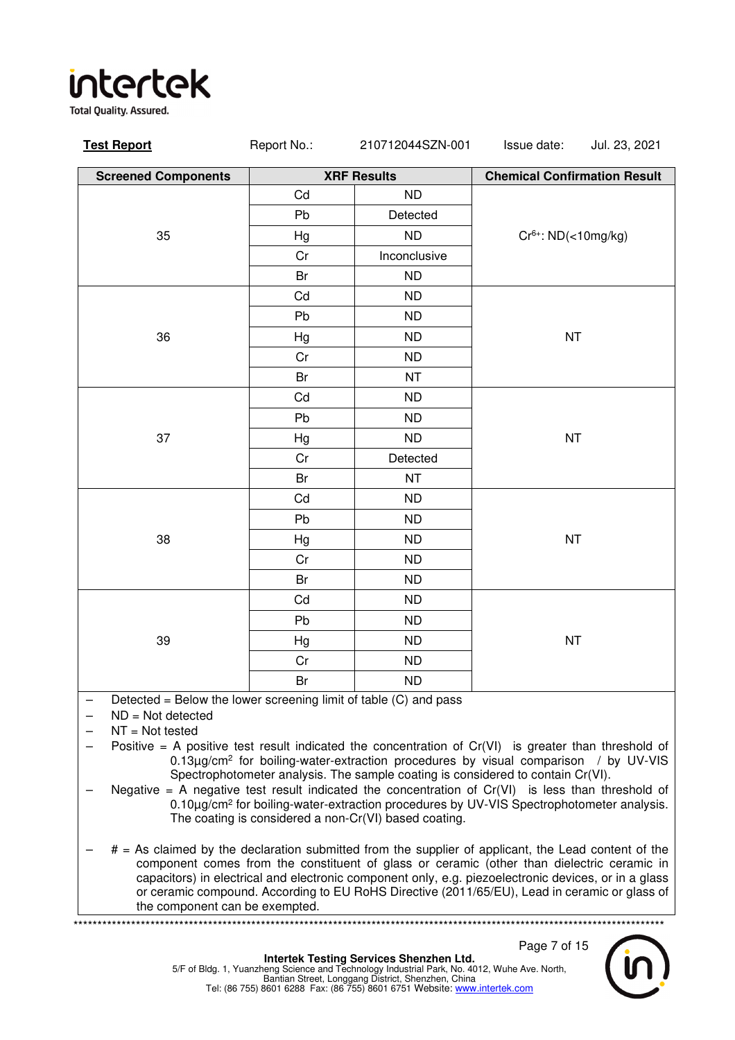**Total Quality. Assured.** 

| <b>Test Report</b>                                                                                                                | Report No.: | 210712044SZN-001   | Issue date:<br>Jul. 23, 2021                                                                                                                                    |  |
|-----------------------------------------------------------------------------------------------------------------------------------|-------------|--------------------|-----------------------------------------------------------------------------------------------------------------------------------------------------------------|--|
| <b>Screened Components</b>                                                                                                        |             | <b>XRF Results</b> | <b>Chemical Confirmation Result</b>                                                                                                                             |  |
|                                                                                                                                   | Cd          | <b>ND</b>          |                                                                                                                                                                 |  |
|                                                                                                                                   | Pb          | Detected           |                                                                                                                                                                 |  |
| 35                                                                                                                                | Hg          | <b>ND</b>          | $Cr6+: ND(<10mg/kg)$                                                                                                                                            |  |
|                                                                                                                                   | Cr          | Inconclusive       |                                                                                                                                                                 |  |
|                                                                                                                                   | Br          | <b>ND</b>          |                                                                                                                                                                 |  |
|                                                                                                                                   | Cd          | <b>ND</b>          |                                                                                                                                                                 |  |
|                                                                                                                                   | Pb          | <b>ND</b>          |                                                                                                                                                                 |  |
| 36                                                                                                                                | Hg          | ND                 | <b>NT</b>                                                                                                                                                       |  |
|                                                                                                                                   | Cr          | <b>ND</b>          |                                                                                                                                                                 |  |
|                                                                                                                                   | Br          | <b>NT</b>          |                                                                                                                                                                 |  |
|                                                                                                                                   | Cd          | <b>ND</b>          |                                                                                                                                                                 |  |
|                                                                                                                                   | Pb          | <b>ND</b>          |                                                                                                                                                                 |  |
| 37                                                                                                                                | Hg          | <b>ND</b>          | NT                                                                                                                                                              |  |
|                                                                                                                                   | Cr          | Detected           |                                                                                                                                                                 |  |
|                                                                                                                                   | Br          | <b>NT</b>          |                                                                                                                                                                 |  |
|                                                                                                                                   | Cd          | <b>ND</b>          |                                                                                                                                                                 |  |
|                                                                                                                                   | Pb          | <b>ND</b>          |                                                                                                                                                                 |  |
| 38                                                                                                                                | Hg          | <b>ND</b>          | <b>NT</b>                                                                                                                                                       |  |
|                                                                                                                                   | Cr          | <b>ND</b>          |                                                                                                                                                                 |  |
|                                                                                                                                   | Br          | <b>ND</b>          |                                                                                                                                                                 |  |
|                                                                                                                                   | Cd          | <b>ND</b>          |                                                                                                                                                                 |  |
|                                                                                                                                   | Pb          | <b>ND</b>          |                                                                                                                                                                 |  |
| 39                                                                                                                                | Hg          | <b>ND</b>          | <b>NT</b>                                                                                                                                                       |  |
|                                                                                                                                   | Cr          | <b>ND</b>          |                                                                                                                                                                 |  |
|                                                                                                                                   | Br          | <b>ND</b>          |                                                                                                                                                                 |  |
| Detected = Below the lower screening limit of table (C) and pass<br>$\qquad \qquad -$<br>$ND = Not detected$<br>$NT = Not tested$ |             |                    | $D_{\text{in}}$ although in a state of the state of the consecutive term of $D_{\text{in}}(10)$ . The consecutive theoretical dependent of $D_{\text{out}}(10)$ |  |

- Positive  $=$  A positive test result indicated the concentration of  $Cr(VI)$  is greater than threshold of 0.13µg/cm<sup>2</sup> for boiling-water-extraction procedures by visual comparison / by UV-VIS Spectrophotometer analysis. The sample coating is considered to contain Cr(VI).
- Negative = A negative test result indicated the concentration of  $Cr(VI)$  is less than threshold of 0.10µg/cm<sup>2</sup> for boiling-water-extraction procedures by UV-VIS Spectrophotometer analysis. The coating is considered a non-Cr(VI) based coating.
- $#$  = As claimed by the declaration submitted from the supplier of applicant, the Lead content of the component comes from the constituent of glass or ceramic (other than dielectric ceramic in capacitors) in electrical and electronic component only, e.g. piezoelectronic devices, or in a glass or ceramic compound. According to EU RoHS Directive (2011/65/EU), Lead in ceramic or glass of the component can be exempted.

\*\*\*\*\*\*\*\*\*\*\*\*\*\*\*\*\*\*\*\*\*\*\*\*\*\*\*\*\*\*\*\*\*\*\*\*\*\*\*\*\*\*\*\*\*\*\*\*\*\*\*\*\*\*\*\*\*\*\*\*\*\*\*\*\*\*\*\*\*\*\*\*\*\*\*\*\*\*\*\*\*\*\*\*\*\*\*\*\*\*\*\*\*\*\*\*\*\*\*\*\*\*\*\*\*\*\*\*\*\*\*\*\*\*\*\*\*\*\*\*\*\*\*

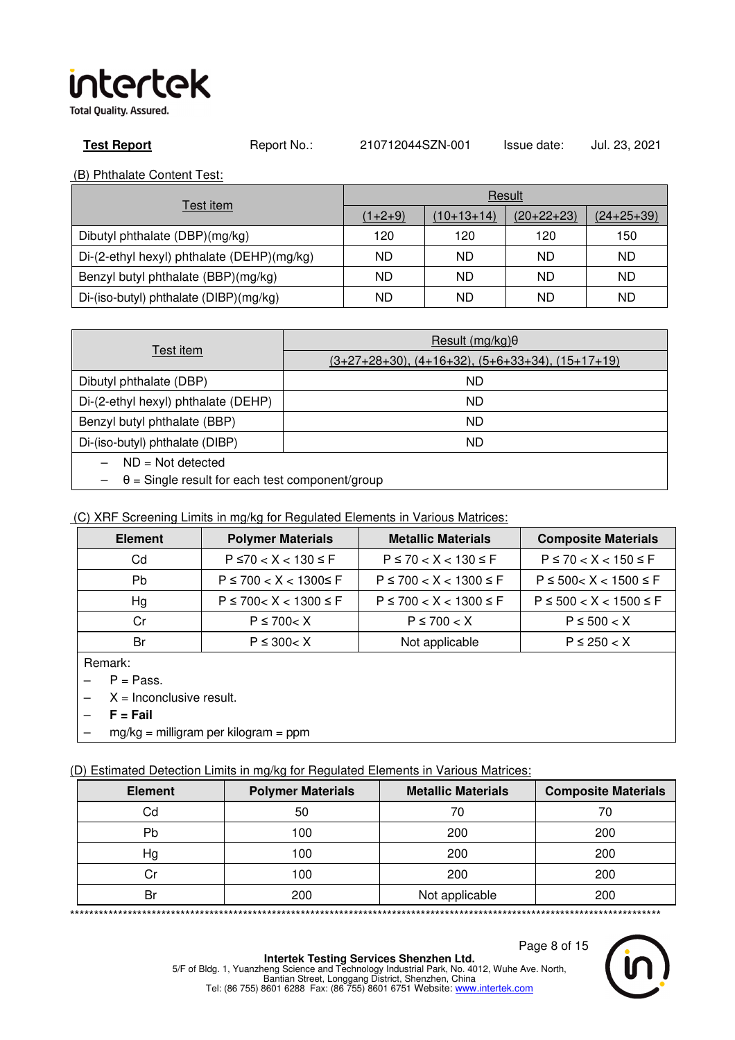**Total Quality. Assured.** 

**Test Report** Report No.: 210712044SZN-001 Issue date: Jul. 23, 2021

(B) Phthalate Content Test:

|                                            | Result    |              |              |                   |  |
|--------------------------------------------|-----------|--------------|--------------|-------------------|--|
| Test item                                  | $(1+2+9)$ | $(10+13+14)$ | $(20+22+23)$ | <u>(24+25+39)</u> |  |
| Dibutyl phthalate (DBP)(mg/kg)             | 120       | 120          | 120          | 150               |  |
| Di-(2-ethyl hexyl) phthalate (DEHP)(mg/kg) | ND        | ND.          | ND           | ND                |  |
| Benzyl butyl phthalate (BBP)(mg/kg)        | ND        | ND           | ND           | ND                |  |
| Di-(iso-butyl) phthalate (DIBP)(mg/kg)     | ND        | ND           | ND           | ND                |  |

|                                                        | Result $(mq/kg)$ $\theta$                          |  |  |
|--------------------------------------------------------|----------------------------------------------------|--|--|
| Test item                                              | $(3+27+28+30), (4+16+32), (5+6+33+34), (15+17+19)$ |  |  |
| Dibutyl phthalate (DBP)                                | ND.                                                |  |  |
| Di-(2-ethyl hexyl) phthalate (DEHP)                    | ND.                                                |  |  |
| Benzyl butyl phthalate (BBP)                           | ND                                                 |  |  |
| Di-(iso-butyl) phthalate (DIBP)                        | ND.                                                |  |  |
| $ND = Not detected$                                    |                                                    |  |  |
| $\theta$ = Single result for each test component/group |                                                    |  |  |

### (C) XRF Screening Limits in mg/kg for Regulated Elements in Various Matrices:

| <b>Element</b> | <b>Polymer Materials</b>     | <b>Metallic Materials</b>    | <b>Composite Materials</b>   |
|----------------|------------------------------|------------------------------|------------------------------|
| Cd             | $P \le 70 < X < 130 \le F$   | $P \le 70 < X < 130 \le F$   | $P \le 70 < X < 150 \le F$   |
| Pb             | $P \le 700 < X < 1300 \le F$ | $P \le 700 < X < 1300 \le F$ | $P \le 500 < X < 1500 \le F$ |
| Hg             | $P \le 700 < X < 1300 \le F$ | $P \le 700 < X < 1300 \le F$ | $P \le 500 < X < 1500 \le F$ |
| Cr             | $P \le 700 < X$              | $P \le 700 < X$              | $P \le 500 < X$              |
| Br             | $P \le 300 < X$              | Not applicable               | $P \le 250 < X$              |

Remark:

 $P = Pass.$ 

 $X = Inconclusive result.$ 

- **F = Fail**
- $mg/kg =$  milligram per kilogram = ppm

(D) Estimated Detection Limits in mg/kg for Regulated Elements in Various Matrices:

| <b>Element</b> | <b>Polymer Materials</b> | <b>Metallic Materials</b> | <b>Composite Materials</b> |
|----------------|--------------------------|---------------------------|----------------------------|
| Cd             | 50                       | 70                        | 70                         |
| Pb             | 100                      | 200                       | 200                        |
| Hg             | 100                      | 200                       | 200                        |
| Cr             | 100                      | 200                       | 200                        |
| Br             | 200                      | Not applicable            | 200                        |
|                |                          |                           |                            |

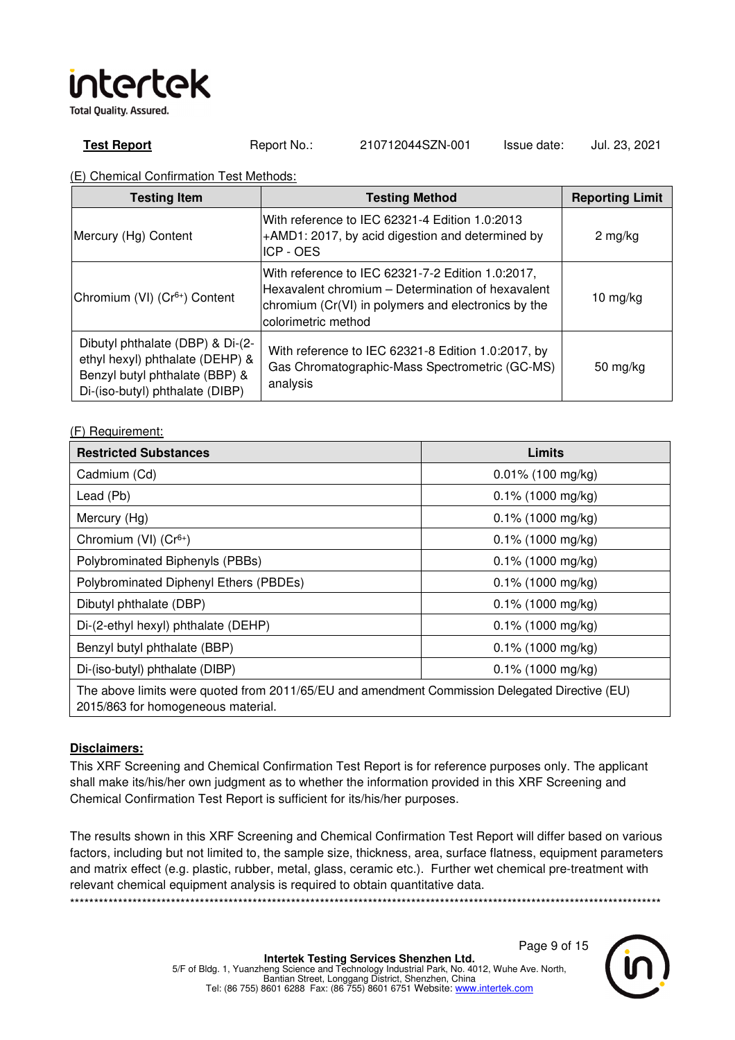**Total Quality. Assured.** 

**Test Report** Report No.: 210712044SZN-001 Issue date: Jul. 23, 2021

(E) Chemical Confirmation Test Methods:

| <b>Testing Item</b>                                                                                                                      | <b>Testing Method</b>                                                                                                                                                                | <b>Reporting Limit</b> |
|------------------------------------------------------------------------------------------------------------------------------------------|--------------------------------------------------------------------------------------------------------------------------------------------------------------------------------------|------------------------|
| Mercury (Hg) Content                                                                                                                     | With reference to IEC 62321-4 Edition 1.0:2013<br>+AMD1: 2017, by acid digestion and determined by<br>ICP - OES                                                                      | $2$ mg/kg              |
| Chromium (VI) (Cr <sup>6+</sup> ) Content                                                                                                | With reference to IEC 62321-7-2 Edition 1.0:2017,<br>Hexavalent chromium - Determination of hexavalent<br>chromium (Cr(VI) in polymers and electronics by the<br>colorimetric method | 10 $mg/kg$             |
| Dibutyl phthalate (DBP) & Di-(2-<br>ethyl hexyl) phthalate (DEHP) &<br>Benzyl butyl phthalate (BBP) &<br>Di-(iso-butyl) phthalate (DIBP) | With reference to IEC 62321-8 Edition 1.0:2017, by<br>Gas Chromatographic-Mass Spectrometric (GC-MS)<br>analysis                                                                     | 50 mg/kg               |

| (F) Requirement: |
|------------------|
|------------------|

| <b>Restricted Substances</b>                                                                                                         | Limits               |  |  |
|--------------------------------------------------------------------------------------------------------------------------------------|----------------------|--|--|
| Cadmium (Cd)                                                                                                                         | $0.01\%$ (100 mg/kg) |  |  |
| Lead (Pb)                                                                                                                            | $0.1\%$ (1000 mg/kg) |  |  |
| Mercury (Hg)                                                                                                                         | 0.1% (1000 mg/kg)    |  |  |
| Chromium (VI) (Cr <sup>6+</sup> )                                                                                                    | $0.1\%$ (1000 mg/kg) |  |  |
| Polybrominated Biphenyls (PBBs)                                                                                                      | $0.1\%$ (1000 mg/kg) |  |  |
| Polybrominated Diphenyl Ethers (PBDEs)                                                                                               | $0.1\%$ (1000 mg/kg) |  |  |
| Dibutyl phthalate (DBP)                                                                                                              | $0.1\%$ (1000 mg/kg) |  |  |
| Di-(2-ethyl hexyl) phthalate (DEHP)                                                                                                  | $0.1\%$ (1000 mg/kg) |  |  |
| Benzyl butyl phthalate (BBP)                                                                                                         | $0.1\%$ (1000 mg/kg) |  |  |
| Di-(iso-butyl) phthalate (DIBP)                                                                                                      | $0.1\%$ (1000 mg/kg) |  |  |
| The above limits were quoted from 2011/65/EU and amendment Commission Delegated Directive (EU)<br>2015/863 for homogeneous material. |                      |  |  |

### **Disclaimers:**

This XRF Screening and Chemical Confirmation Test Report is for reference purposes only. The applicant shall make its/his/her own judgment as to whether the information provided in this XRF Screening and Chemical Confirmation Test Report is sufficient for its/his/her purposes.

The results shown in this XRF Screening and Chemical Confirmation Test Report will differ based on various factors, including but not limited to, the sample size, thickness, area, surface flatness, equipment parameters and matrix effect (e.g. plastic, rubber, metal, glass, ceramic etc.). Further wet chemical pre-treatment with relevant chemical equipment analysis is required to obtain quantitative data. \*\*\*\*\*\*\*\*\*\*\*\*\*\*\*\*\*\*\*\*\*\*\*\*\*\*\*\*\*\*\*\*\*\*\*\*\*\*\*\*\*\*\*\*\*\*\*\*\*\*\*\*\*\*\*\*\*\*\*\*\*\*\*\*\*\*\*\*\*\*\*\*\*\*\*\*\*\*\*\*\*\*\*\*\*\*\*\*\*\*\*\*\*\*\*\*\*\*\*\*\*\*\*\*\*\*\*\*\*\*\*\*\*\*\*\*\*\*\*\*\*\*\*

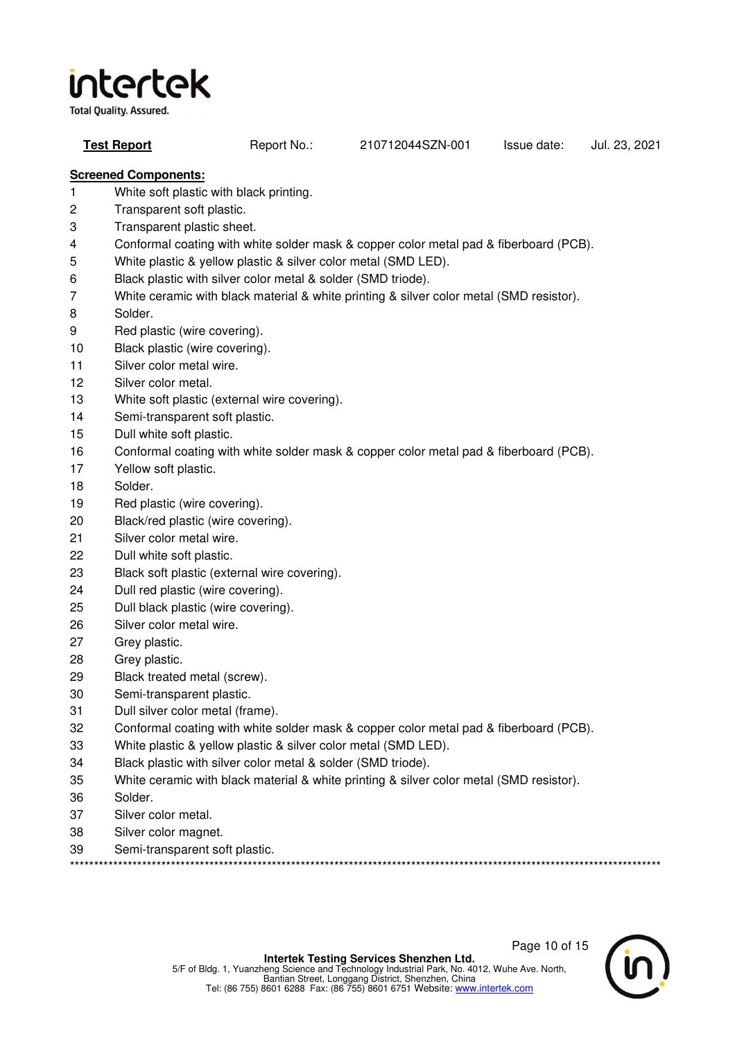**Total Quality. Assured.** 

**Test Report** Report No.: 210712044SZN-001 Issue date: Jul. 23, 2021

## **Screened Components:**

- 1 White soft plastic with black printing.
- 2 Transparent soft plastic.
- 3 Transparent plastic sheet.
- 4 Conformal coating with white solder mask & copper color metal pad & fiberboard (PCB).
- 5 White plastic & yellow plastic & silver color metal (SMD LED).
- 6 Black plastic with silver color metal & solder (SMD triode).
- 7 White ceramic with black material & white printing & silver color metal (SMD resistor).
- 8 Solder.
- 9 Red plastic (wire covering).
- 10 Black plastic (wire covering).
- 11 Silver color metal wire.
- 12 Silver color metal.
- 13 White soft plastic (external wire covering).
- 14 Semi-transparent soft plastic.
- 15 Dull white soft plastic.
- 16 Conformal coating with white solder mask & copper color metal pad & fiberboard (PCB).
- 17 Yellow soft plastic.
- 18 Solder.
- 19 Red plastic (wire covering).
- 20 Black/red plastic (wire covering).
- 21 Silver color metal wire.
- 22 Dull white soft plastic.
- 23 Black soft plastic (external wire covering).
- 24 Dull red plastic (wire covering).
- 25 Dull black plastic (wire covering).
- 26 Silver color metal wire.
- 27 Grey plastic.
- 28 Grey plastic.
- 29 Black treated metal (screw).
- 30 Semi-transparent plastic.
- 31 Dull silver color metal (frame).
- 32 Conformal coating with white solder mask & copper color metal pad & fiberboard (PCB).
- 33 White plastic & yellow plastic & silver color metal (SMD LED).
- 34 Black plastic with silver color metal & solder (SMD triode).
- 35 White ceramic with black material & white printing & silver color metal (SMD resistor).
- 36 Solder.
- 37 Silver color metal.
- 38 Silver color magnet.
- 39 Semi-transparent soft plastic.

\*\*\*\*\*\*\*\*\*\*\*\*\*\*\*\*\*\*\*\*\*\*\*\*\*\*\*\*\*\*\*\*\*\*\*\*\*\*\*\*\*\*\*\*\*\*\*\*\*\*\*\*\*\*\*\*\*\*\*\*\*\*\*\*\*\*\*\*\*\*\*\*\*\*\*\*\*\*\*\*\*\*\*\*\*\*\*\*\*\*\*\*\*\*\*\*\*\*\*\*\*\*\*\*\*\*\*\*\*\*\*\*\*\*\*\*\*\*\*\*\*\*\*

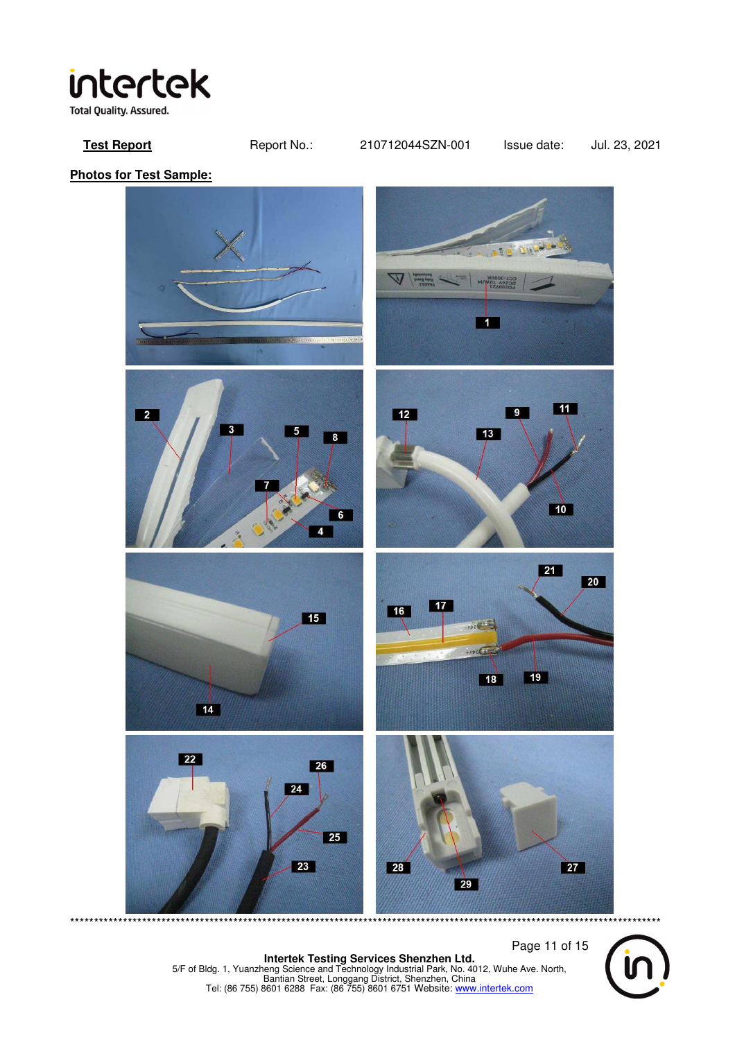

**Test Report** Report No.: 210712044SZN-001 Issue date: Jul. 23, 2021

**Photos for Test Sample:** 



 Page 11 of 15 **Intertek Testing Services Shenzhen Ltd.**<br>5/F of Bldg. 1, Yuanzheng Science and Technology Industrial Park, No. 4012, Wuhe Ave. North,<br>Bantian Street, Longgang District, Shenzhen, China<br>Tel: (86 755) 8601 6288 Fax: (86 755

\*\*\*\*\*\*\*\*\*\*\*\*\*\*\*\*\*\*\*\*\*\*\*\*\*\*\*\*\*\*\*\*\*\*\*\*\*\*\*\*\*\*\*\*\*\*\*\*\*\*\*\*\*\*\*\*\*\*\*\*\*\*\*\*\*\*\*\*\*\*\*\*\*\*\*\*\*\*\*\*\*\*\*\*\*\*\*\*\*\*\*\*\*\*\*\*\*\*\*\*\*\*\*\*\*\*\*\*\*\*\*\*\*\*\*\*\*\*\*\*\*\*\*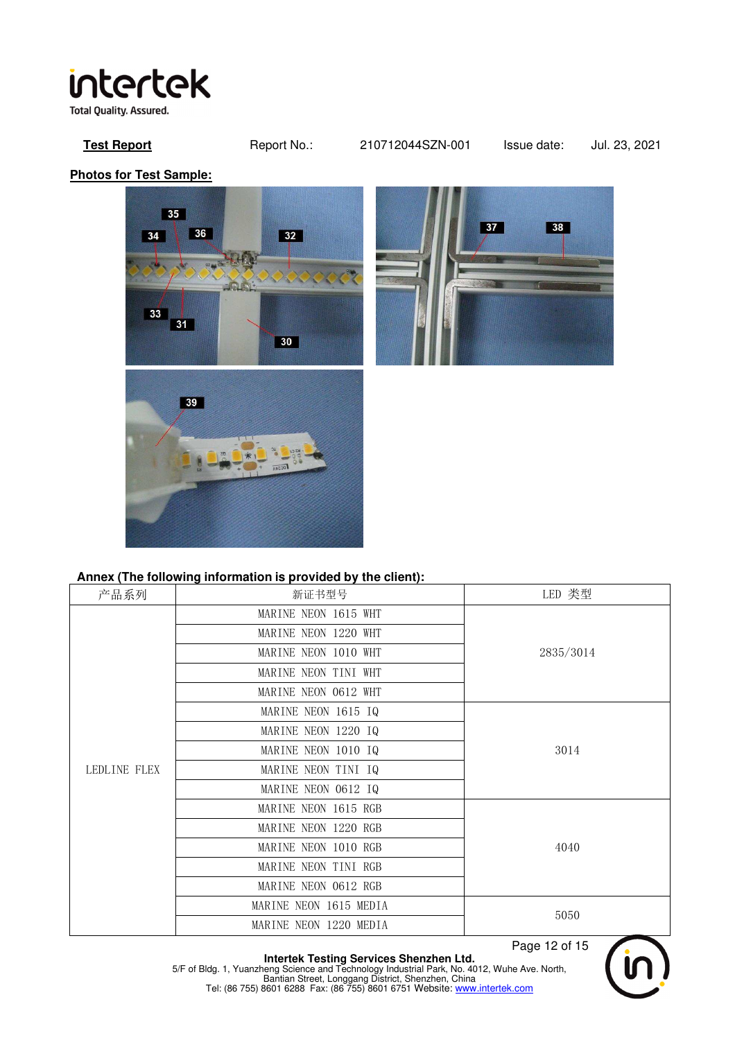## intertek **Total Quality. Assured.**

### **Test Report** Report No.: 210712044SZN-001 Issue date: Jul. 23, 2021

**Photos for Test Sample:** 





### **Annex (The following information is provided by the client):**

| 产品系列         | 新证书型号                  | LED 类型    |  |
|--------------|------------------------|-----------|--|
|              | MARINE NEON 1615 WHT   |           |  |
|              | MARINE NEON 1220 WHT   |           |  |
|              | MARINE NEON 1010 WHT   | 2835/3014 |  |
|              | MARINE NEON TINI WHT   |           |  |
| LEDLINE FLEX | MARINE NEON 0612 WHT   |           |  |
|              | MARINE NEON 1615 IQ    |           |  |
|              | MARINE NEON 1220 IQ    |           |  |
|              | MARINE NEON 1010 IQ    | 3014      |  |
|              | MARINE NEON TINI IQ    |           |  |
|              | MARINE NEON 0612 IQ    |           |  |
|              | MARINE NEON 1615 RGB   |           |  |
|              | MARINE NEON 1220 RGB   |           |  |
|              | MARINE NEON 1010 RGB   | 4040      |  |
|              | MARINE NEON TINI RGB   |           |  |
|              | MARINE NEON 0612 RGB   |           |  |
|              | MARINE NEON 1615 MEDIA | 5050      |  |
|              | MARINE NEON 1220 MEDIA |           |  |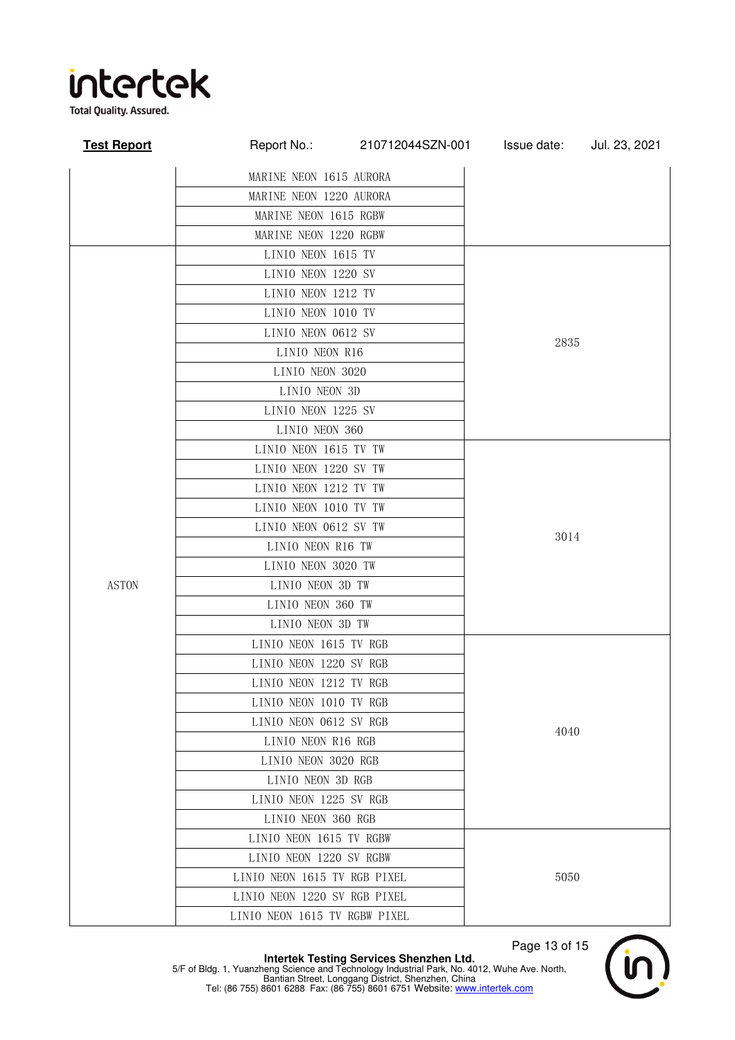

**Total Quality. Assured.** 

| <b>Test Report</b> | Report No.:                   | 210712044SZN-001 | Issue date: | Jul. 23, 2021 |  |
|--------------------|-------------------------------|------------------|-------------|---------------|--|
|                    | MARINE NEON 1615 AURORA       |                  |             |               |  |
|                    | MARINE NEON 1220 AURORA       |                  |             |               |  |
|                    | MARINE NEON 1615 RGBW         |                  |             |               |  |
|                    | MARINE NEON 1220 RGBW         |                  |             |               |  |
|                    | LINIO NEON 1615 TV            |                  |             |               |  |
|                    | LINIO NEON 1220 SV            |                  |             |               |  |
|                    | LINIO NEON 1212 TV            |                  |             |               |  |
|                    | LINIO NEON 1010 TV            |                  | 2835        |               |  |
|                    | LINIO NEON 0612 SV            |                  |             |               |  |
|                    | LINIO NEON R16                |                  |             |               |  |
|                    | LINIO NEON 3020               |                  |             |               |  |
|                    | LINIO NEON 3D                 |                  |             |               |  |
|                    | LINIO NEON 1225 SV            |                  |             |               |  |
|                    | LINIO NEON 360                |                  |             |               |  |
|                    | LINIO NEON 1615 TV TW         |                  | 3014        |               |  |
|                    | LINIO NEON 1220 SV TW         |                  |             |               |  |
|                    | LINIO NEON 1212 TV TW         |                  |             |               |  |
|                    | LINIO NEON 1010 TV TW         |                  |             |               |  |
|                    | LINIO NEON 0612 SV TW         |                  |             |               |  |
|                    | LINIO NEON R16 TW             |                  |             |               |  |
| <b>ASTON</b>       | LINIO NEON 3020 TW            |                  |             |               |  |
|                    | LINIO NEON 3D TW              |                  |             |               |  |
|                    | LINIO NEON 360 TW             |                  |             |               |  |
|                    | LINIO NEON 3D TW              |                  |             |               |  |
|                    | LINIO NEON 1615 TV RGB        |                  | 4040        |               |  |
|                    | LINIO NEON 1220 SV RGB        |                  |             |               |  |
|                    | LINIO NEON 1212 TV RGB        |                  |             |               |  |
|                    | LINIO NEON 1010 TV RGB        |                  |             |               |  |
|                    | LINIO NEON 0612 SV RGB        |                  |             |               |  |
|                    | LINIO NEON R16 RGB            |                  |             |               |  |
|                    | LINIO NEON 3020 RGB           |                  |             |               |  |
|                    | LINIO NEON 3D RGB             |                  |             |               |  |
|                    | LINIO NEON 1225 SV RGB        |                  |             |               |  |
|                    | LINIO NEON 360 RGB            |                  |             |               |  |
|                    | LINIO NEON 1615 TV RGBW       |                  |             |               |  |
|                    | LINIO NEON 1220 SV RGBW       |                  | 5050        |               |  |
|                    | LINIO NEON 1615 TV RGB PIXEL  |                  |             |               |  |
|                    | LINIO NEON 1220 SV RGB PIXEL  |                  |             |               |  |
|                    | LINIO NEON 1615 TV RGBW PIXEL |                  |             |               |  |

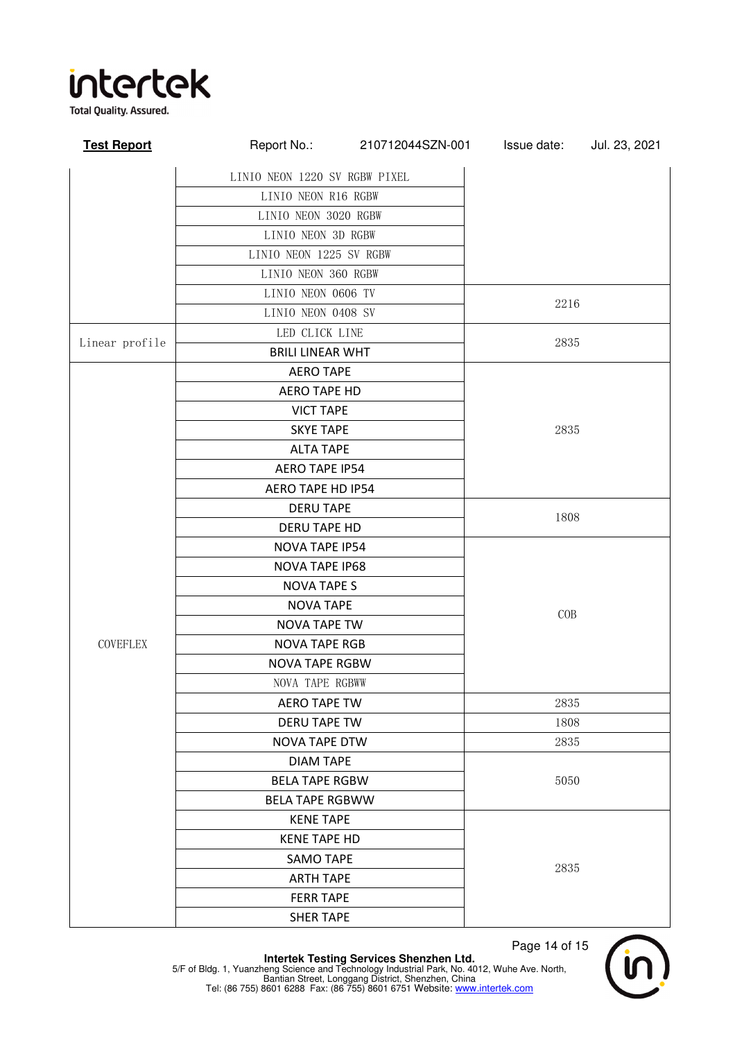

**Test Report** Report No.: 210712044SZN-001 Issue date: Jul. 23, 2021 LINIO NEON 1220 SV RGBW PIXEL LINIO NEON R16 RGBW LINIO NEON 3020 RGBW LINIO NEON 3D RGBW LINIO NEON 1225 SV RGBW LINIO NEON 360 RGBW LINIO NEON 0606 TV 2216 LINIO NEON 0408 SV Linear profile LED CLICK LINE 2835 BRILI LINEAR WHT **COVEFLEX** AERO TAPE 2835 AERO TAPE HD VICT TAPE SKYE TAPE ALTA TAPE AERO TAPE IP54 AERO TAPE HD IP54 DERU TAPE 1808 DERU TAPE HD NOVA TAPE IP54 COB NOVA TAPE IP68 NOVA TAPE S NOVA TAPE NOVA TAPE TW NOVA TAPE RGB NOVA TAPE RGBW NOVA TAPE RGBWW AERO TAPE TW **NAPLA 2835** DERU TAPE TW 1808 NOVA TAPE DTW 2835 DIAM TAPE BELA TAPE RGBW 5050 BELA TAPE RGBWW KENE TAPE 2835 KENE TAPE HD SAMO TAPE ARTH TAPE FERR TAPE SHER TAPE